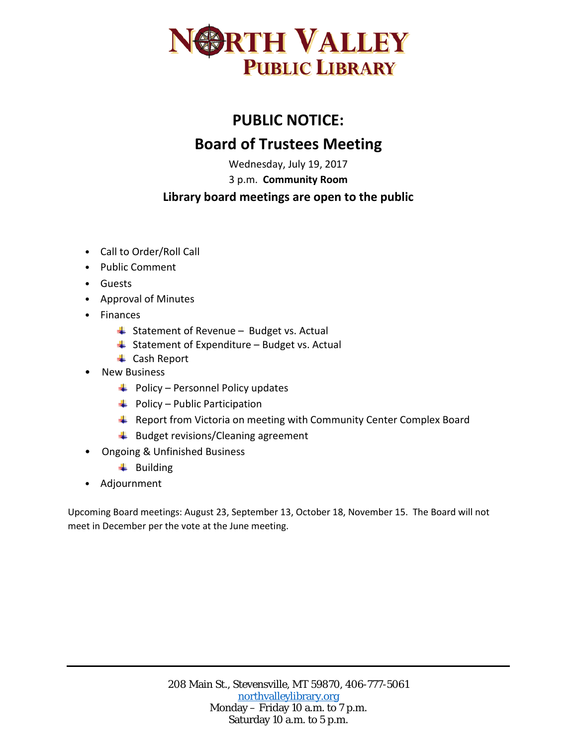

## **PUBLIC NOTICE: Board of Trustees Meeting**

Wednesday, July 19, 2017

3 p.m. **Community Room**

## **Library board meetings are open to the public**

- Call to Order/Roll Call
- Public Comment
- Guests
- Approval of Minutes
- Finances
	- $\frac{1}{2}$  Statement of Revenue Budget vs. Actual
	- $\triangleq$  Statement of Expenditure Budget vs. Actual
	- **↓** Cash Report
- New Business
	- $\blacktriangle$  Policy Personnel Policy updates
	- $\bigcup$  Policy Public Participation
	- **EXTER** Report from Victoria on meeting with Community Center Complex Board
	- $\bigstar$  Budget revisions/Cleaning agreement
- Ongoing & Unfinished Business
	- $\leftarrow$  Building
- Adjournment

Upcoming Board meetings: August 23, September 13, October 18, November 15. The Board will not meet in December per the vote at the June meeting.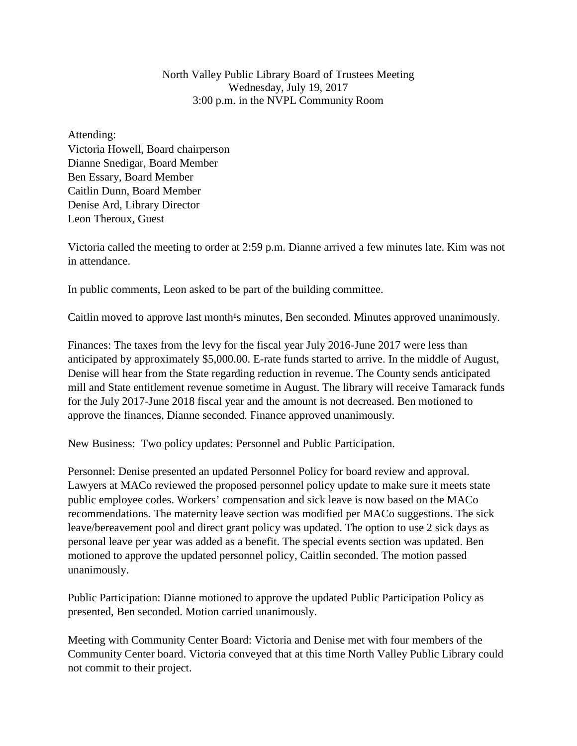North Valley Public Library Board of Trustees Meeting Wednesday, July 19, 2017 3:00 p.m. in the NVPL Community Room

Attending: Victoria Howell, Board chairperson Dianne Snedigar, Board Member Ben Essary, Board Member Caitlin Dunn, Board Member Denise Ard, Library Director Leon Theroux, Guest

Victoria called the meeting to order at 2:59 p.m. Dianne arrived a few minutes late. Kim was not in attendance.

In public comments, Leon asked to be part of the building committee.

Caitlin moved to approve last month<sup>1</sup>s minutes, Ben seconded. Minutes approved unanimously.

Finances: The taxes from the levy for the fiscal year July 2016-June 2017 were less than anticipated by approximately \$5,000.00. E-rate funds started to arrive. In the middle of August, Denise will hear from the State regarding reduction in revenue. The County sends anticipated mill and State entitlement revenue sometime in August. The library will receive Tamarack funds for the July 2017-June 2018 fiscal year and the amount is not decreased. Ben motioned to approve the finances, Dianne seconded. Finance approved unanimously.

New Business: Two policy updates: Personnel and Public Participation.

Personnel: Denise presented an updated Personnel Policy for board review and approval. Lawyers at MACo reviewed the proposed personnel policy update to make sure it meets state public employee codes. Workers' compensation and sick leave is now based on the MACo recommendations. The maternity leave section was modified per MACo suggestions. The sick leave/bereavement pool and direct grant policy was updated. The option to use 2 sick days as personal leave per year was added as a benefit. The special events section was updated. Ben motioned to approve the updated personnel policy, Caitlin seconded. The motion passed unanimously.

Public Participation: Dianne motioned to approve the updated Public Participation Policy as presented, Ben seconded. Motion carried unanimously.

Meeting with Community Center Board: Victoria and Denise met with four members of the Community Center board. Victoria conveyed that at this time North Valley Public Library could not commit to their project.